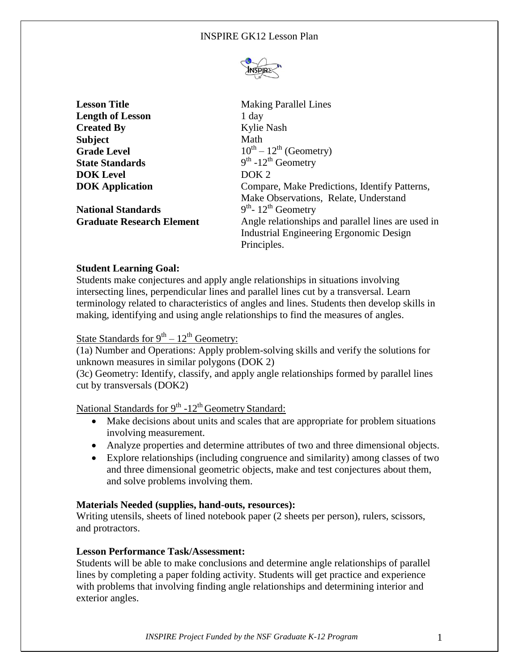

**Lesson Title** Making Parallel Lines **Length of Lesson** 1 day **Created By** Kylie Nash **Subject** Math **Grade Level State Standards DOK Level** DOK 2

**National Standards** 

 $10^{th} - 12^{th}$  (Geometry)  $th$  -12<sup>th</sup> Geometry **DOK Application Compare, Make Predictions, Identify Patterns,** Make Observations, Relate, Understand <sup>th</sup>- 12<sup>th</sup> Geometry **Graduate Research Element** Angle relationships and parallel lines are used in Industrial Engineering Ergonomic Design Principles.

## **Student Learning Goal:**

Students make conjectures and apply angle relationships in situations involving intersecting lines, perpendicular lines and parallel lines cut by a transversal. Learn terminology related to characteristics of angles and lines. Students then develop skills in making, identifying and using angle relationships to find the measures of angles.

# State Standards for  $9<sup>th</sup> - 12<sup>th</sup>$  Geometry:

(1a) Number and Operations: Apply problem-solving skills and verify the solutions for unknown measures in similar polygons (DOK 2)

(3c) Geometry: Identify, classify, and apply angle relationships formed by parallel lines cut by transversals (DOK2)

# National Standards for 9<sup>th</sup> -12<sup>th</sup> Geometry Standard:

- Make decisions about units and scales that are appropriate for problem situations involving measurement.
- Analyze properties and determine attributes of two and three dimensional objects.
- Explore relationships (including congruence and similarity) among classes of two and three dimensional geometric objects, make and test conjectures about them, and solve problems involving them.

### **Materials Needed (supplies, hand-outs, resources):**

Writing utensils, sheets of lined notebook paper (2 sheets per person), rulers, scissors, and protractors.

### **Lesson Performance Task/Assessment:**

Students will be able to make conclusions and determine angle relationships of parallel lines by completing a paper folding activity. Students will get practice and experience with problems that involving finding angle relationships and determining interior and exterior angles.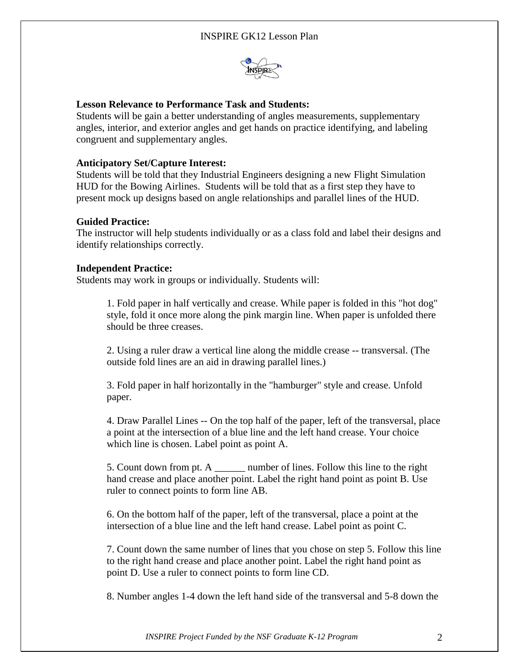

## **Lesson Relevance to Performance Task and Students:**

Students will be gain a better understanding of angles measurements, supplementary angles, interior, and exterior angles and get hands on practice identifying, and labeling congruent and supplementary angles.

## **Anticipatory Set/Capture Interest:**

Students will be told that they Industrial Engineers designing a new Flight Simulation HUD for the Bowing Airlines. Students will be told that as a first step they have to present mock up designs based on angle relationships and parallel lines of the HUD.

### **Guided Practice:**

The instructor will help students individually or as a class fold and label their designs and identify relationships correctly.

### **Independent Practice:**

Students may work in groups or individually. Students will:

1. Fold paper in half vertically and crease. While paper is folded in this "hot dog" style, fold it once more along the pink margin line. When paper is unfolded there should be three creases.

2. Using a ruler draw a vertical line along the middle crease -- transversal. (The outside fold lines are an aid in drawing parallel lines.)

3. Fold paper in half horizontally in the "hamburger" style and crease. Unfold paper.

4. Draw Parallel Lines -- On the top half of the paper, left of the transversal, place a point at the intersection of a blue line and the left hand crease. Your choice which line is chosen. Label point as point A.

5. Count down from pt. A \_\_\_\_\_\_ number of lines. Follow this line to the right hand crease and place another point. Label the right hand point as point B. Use ruler to connect points to form line AB.

6. On the bottom half of the paper, left of the transversal, place a point at the intersection of a blue line and the left hand crease. Label point as point C.

7. Count down the same number of lines that you chose on step 5. Follow this line to the right hand crease and place another point. Label the right hand point as point D. Use a ruler to connect points to form line CD.

8. Number angles 1-4 down the left hand side of the transversal and 5-8 down the

*INSPIRE Project Funded by the NSF Graduate K-12 Program* 2